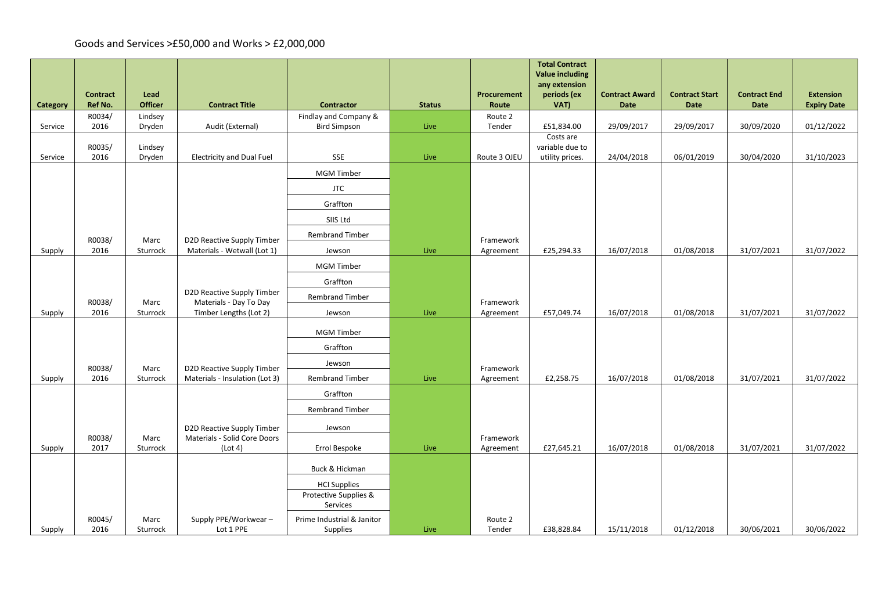|          |                 |                   |                                                      |                                              |               |                   | <b>Total Contract</b><br><b>Value including</b><br>any extension |                       |                       |                     |                    |
|----------|-----------------|-------------------|------------------------------------------------------|----------------------------------------------|---------------|-------------------|------------------------------------------------------------------|-----------------------|-----------------------|---------------------|--------------------|
|          | <b>Contract</b> | Lead              |                                                      |                                              |               | Procurement       | periods (ex                                                      | <b>Contract Award</b> | <b>Contract Start</b> | <b>Contract End</b> | <b>Extension</b>   |
| Category | Ref No.         | <b>Officer</b>    | <b>Contract Title</b>                                | <b>Contractor</b>                            | <b>Status</b> | Route             | VAT)                                                             | <b>Date</b>           | Date                  | <b>Date</b>         | <b>Expiry Date</b> |
| Service  | R0034/<br>2016  | Lindsey<br>Dryden | Audit (External)                                     | Findlay and Company &<br><b>Bird Simpson</b> | Live          | Route 2<br>Tender | £51,834.00                                                       | 29/09/2017            | 29/09/2017            | 30/09/2020          | 01/12/2022         |
|          |                 |                   |                                                      |                                              |               |                   | Costs are                                                        |                       |                       |                     |                    |
| Service  | R0035/<br>2016  | Lindsey<br>Dryden | <b>Electricity and Dual Fuel</b>                     | <b>SSE</b>                                   | Live          | Route 3 OJEU      | variable due to<br>utility prices.                               | 24/04/2018            | 06/01/2019            | 30/04/2020          | 31/10/2023         |
|          |                 |                   |                                                      | <b>MGM Timber</b>                            |               |                   |                                                                  |                       |                       |                     |                    |
|          |                 |                   |                                                      | <b>JTC</b>                                   |               |                   |                                                                  |                       |                       |                     |                    |
|          |                 |                   |                                                      | Graffton                                     |               |                   |                                                                  |                       |                       |                     |                    |
|          |                 |                   |                                                      | SIIS Ltd                                     |               |                   |                                                                  |                       |                       |                     |                    |
|          | R0038/          | Marc              | D2D Reactive Supply Timber                           | <b>Rembrand Timber</b>                       |               | Framework         |                                                                  |                       |                       |                     |                    |
| Supply   | 2016            | Sturrock          | Materials - Wetwall (Lot 1)                          | Jewson                                       | Live          | Agreement         | £25,294.33                                                       | 16/07/2018            | 01/08/2018            | 31/07/2021          | 31/07/2022         |
|          |                 |                   |                                                      | <b>MGM Timber</b>                            |               |                   |                                                                  |                       |                       |                     |                    |
|          |                 |                   |                                                      | Graffton                                     |               |                   |                                                                  |                       |                       |                     |                    |
|          | R0038/          | Marc              | D2D Reactive Supply Timber<br>Materials - Day To Day | <b>Rembrand Timber</b>                       |               | Framework         |                                                                  |                       |                       |                     |                    |
| Supply   | 2016            | Sturrock          | Timber Lengths (Lot 2)                               | Jewson                                       | Live          | Agreement         | £57,049.74                                                       | 16/07/2018            | 01/08/2018            | 31/07/2021          | 31/07/2022         |
|          |                 |                   |                                                      | <b>MGM Timber</b>                            |               |                   |                                                                  |                       |                       |                     |                    |
|          |                 |                   |                                                      | Graffton                                     |               |                   |                                                                  |                       |                       |                     |                    |
|          | R0038/          | Marc              | D2D Reactive Supply Timber                           | Jewson                                       |               | Framework         |                                                                  |                       |                       |                     |                    |
| Supply   | 2016            | Sturrock          | Materials - Insulation (Lot 3)                       | <b>Rembrand Timber</b>                       | Live          | Agreement         | £2,258.75                                                        | 16/07/2018            | 01/08/2018            | 31/07/2021          | 31/07/2022         |
|          |                 |                   |                                                      | Graffton                                     |               |                   |                                                                  |                       |                       |                     |                    |
|          |                 |                   |                                                      | <b>Rembrand Timber</b>                       |               |                   |                                                                  |                       |                       |                     |                    |
|          |                 |                   | D2D Reactive Supply Timber                           | Jewson                                       |               |                   |                                                                  |                       |                       |                     |                    |
|          | R0038/<br>2017  | Marc<br>Sturrock  | Materials - Solid Core Doors                         |                                              |               | Framework         |                                                                  | 16/07/2018            | 01/08/2018            | 31/07/2021          | 31/07/2022         |
| Supply   |                 |                   | (Lot 4)                                              | Errol Bespoke                                | Live          | Agreement         | £27,645.21                                                       |                       |                       |                     |                    |
|          |                 |                   |                                                      | Buck & Hickman                               |               |                   |                                                                  |                       |                       |                     |                    |
|          |                 |                   |                                                      | <b>HCI Supplies</b>                          |               |                   |                                                                  |                       |                       |                     |                    |
|          |                 |                   |                                                      | Protective Supplies &<br>Services            |               |                   |                                                                  |                       |                       |                     |                    |
|          | R0045/          | Marc              | Supply PPE/Workwear-                                 | Prime Industrial & Janitor                   |               | Route 2           |                                                                  |                       |                       |                     |                    |
| Supply   | 2016            | Sturrock          | Lot 1 PPE                                            | Supplies                                     | Live          | Tender            | £38,828.84                                                       | 15/11/2018            | 01/12/2018            | 30/06/2021          | 30/06/2022         |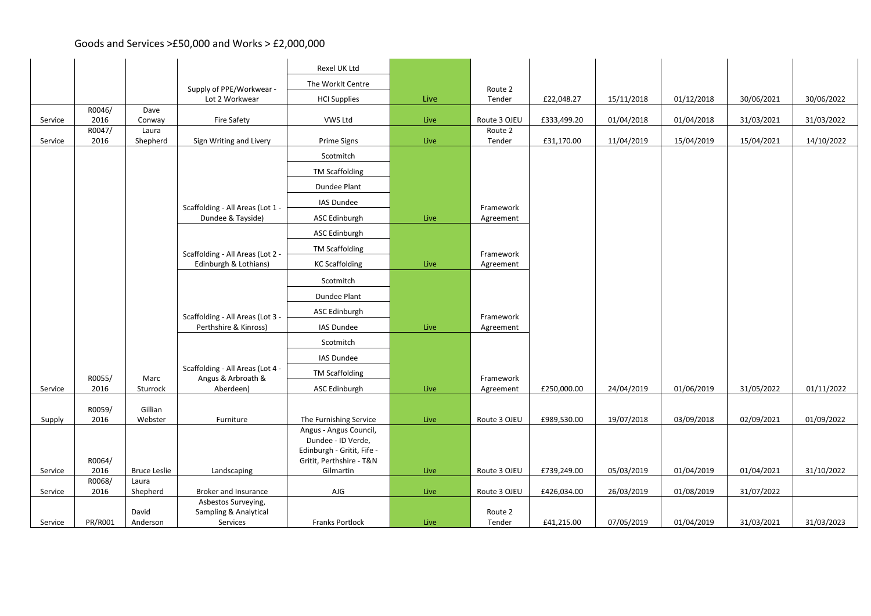|         |                |                     |                                                           | Rexel UK Ltd                                                                                           |      |                         |             |            |            |            |            |
|---------|----------------|---------------------|-----------------------------------------------------------|--------------------------------------------------------------------------------------------------------|------|-------------------------|-------------|------------|------------|------------|------------|
|         |                |                     |                                                           | The WorkIt Centre                                                                                      |      |                         |             |            |            |            |            |
|         |                |                     | Supply of PPE/Workwear -<br>Lot 2 Workwear                | <b>HCI Supplies</b>                                                                                    | Live | Route 2<br>Tender       | £22,048.27  | 15/11/2018 | 01/12/2018 | 30/06/2021 | 30/06/2022 |
|         | R0046/         | Dave                |                                                           |                                                                                                        |      |                         |             |            |            |            |            |
| Service | 2016<br>R0047/ | Conway<br>Laura     | Fire Safety                                               | VWS Ltd                                                                                                | Live | Route 3 OJEU<br>Route 2 | £333,499.20 | 01/04/2018 | 01/04/2018 | 31/03/2021 | 31/03/2022 |
| Service | 2016           | Shepherd            | Sign Writing and Livery                                   | Prime Signs                                                                                            | Live | Tender                  | £31,170.00  | 11/04/2019 | 15/04/2019 | 15/04/2021 | 14/10/2022 |
|         |                |                     |                                                           | Scotmitch                                                                                              |      |                         |             |            |            |            |            |
|         |                |                     |                                                           | <b>TM Scaffolding</b>                                                                                  |      |                         |             |            |            |            |            |
|         |                |                     |                                                           | Dundee Plant                                                                                           |      |                         |             |            |            |            |            |
|         |                |                     | Scaffolding - All Areas (Lot 1 -                          | IAS Dundee                                                                                             |      | Framework               |             |            |            |            |            |
|         |                |                     | Dundee & Tayside)                                         | ASC Edinburgh                                                                                          | Live | Agreement               |             |            |            |            |            |
|         |                |                     |                                                           | ASC Edinburgh                                                                                          |      |                         |             |            |            |            |            |
|         |                |                     | Scaffolding - All Areas (Lot 2 -                          | <b>TM Scaffolding</b>                                                                                  |      | Framework               |             |            |            |            |            |
|         |                |                     | Edinburgh & Lothians)                                     | <b>KC Scaffolding</b>                                                                                  | Live | Agreement               |             |            |            |            |            |
|         |                |                     |                                                           | Scotmitch                                                                                              |      |                         |             |            |            |            |            |
|         |                |                     |                                                           | Dundee Plant                                                                                           |      |                         |             |            |            |            |            |
|         |                |                     |                                                           | ASC Edinburgh                                                                                          |      |                         |             |            |            |            |            |
|         |                |                     | Scaffolding - All Areas (Lot 3 -<br>Perthshire & Kinross) | IAS Dundee                                                                                             | Live | Framework<br>Agreement  |             |            |            |            |            |
|         |                |                     |                                                           | Scotmitch                                                                                              |      |                         |             |            |            |            |            |
|         |                |                     |                                                           | IAS Dundee                                                                                             |      |                         |             |            |            |            |            |
|         |                |                     | Scaffolding - All Areas (Lot 4 -                          | <b>TM Scaffolding</b>                                                                                  |      |                         |             |            |            |            |            |
| Service | R0055/<br>2016 | Marc<br>Sturrock    | Angus & Arbroath &<br>Aberdeen)                           | ASC Edinburgh                                                                                          | Live | Framework<br>Agreement  | £250,000.00 | 24/04/2019 | 01/06/2019 | 31/05/2022 | 01/11/2022 |
|         |                |                     |                                                           |                                                                                                        |      |                         |             |            |            |            |            |
| Supply  | R0059/<br>2016 | Gillian<br>Webster  | Furniture                                                 | The Furnishing Service                                                                                 | Live | Route 3 OJEU            | £989,530.00 | 19/07/2018 | 03/09/2018 | 02/09/2021 | 01/09/2022 |
|         | R0064/         |                     |                                                           | Angus - Angus Council,<br>Dundee - ID Verde,<br>Edinburgh - Gritit, Fife -<br>Gritit, Perthshire - T&N |      |                         |             |            |            |            |            |
| Service | 2016           | <b>Bruce Leslie</b> | Landscaping                                               | Gilmartin                                                                                              | Live | Route 3 OJEU            | £739,249.00 | 05/03/2019 | 01/04/2019 | 01/04/2021 | 31/10/2022 |
| Service | R0068/<br>2016 | Laura               | Broker and Insurance                                      | AJG                                                                                                    |      | Route 3 OJEU            | £426,034.00 | 26/03/2019 | 01/08/2019 | 31/07/2022 |            |
|         |                | Shepherd            | Asbestos Surveying,                                       |                                                                                                        | Live |                         |             |            |            |            |            |
|         |                | David               | Sampling & Analytical                                     |                                                                                                        |      | Route 2                 |             |            |            |            |            |
| Service | PR/R001        | Anderson            | Services                                                  | <b>Franks Portlock</b>                                                                                 | Live | Tender                  | £41,215.00  | 07/05/2019 | 01/04/2019 | 31/03/2021 | 31/03/2023 |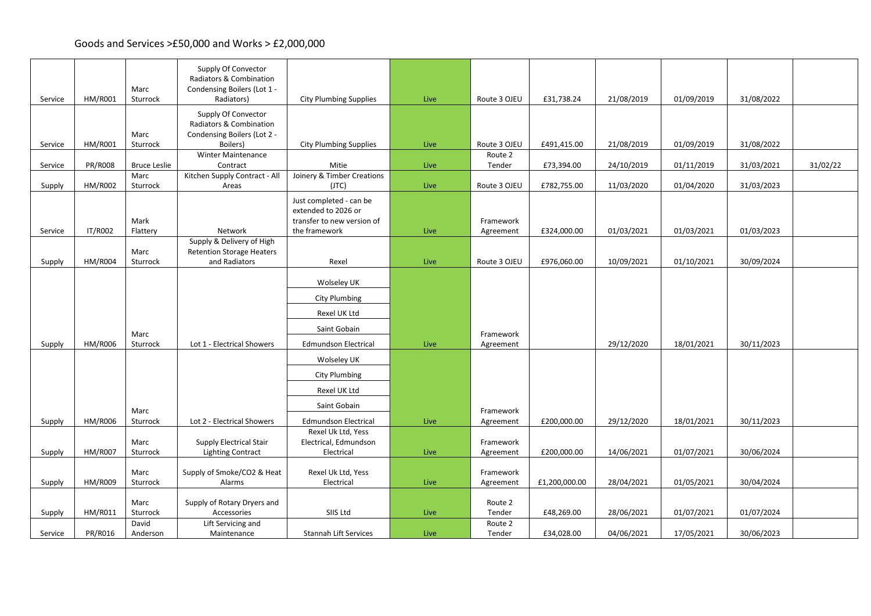| Service | HM/R001        | Marc<br>Sturrock            | Supply Of Convector<br>Radiators & Combination<br>Condensing Boilers (Lot 1 -<br>Radiators) | <b>City Plumbing Supplies</b>                                                                 | Live | Route 3 OJEU           | £31,738.24    | 21/08/2019 | 01/09/2019 | 31/08/2022 |          |
|---------|----------------|-----------------------------|---------------------------------------------------------------------------------------------|-----------------------------------------------------------------------------------------------|------|------------------------|---------------|------------|------------|------------|----------|
|         |                |                             | Supply Of Convector<br>Radiators & Combination                                              |                                                                                               |      |                        |               |            |            |            |          |
| Service | <b>HM/R001</b> | Marc<br>Sturrock            | Condensing Boilers (Lot 2 -<br>Boilers)                                                     | <b>City Plumbing Supplies</b>                                                                 | Live | Route 3 OJEU           | £491,415.00   | 21/08/2019 | 01/09/2019 | 31/08/2022 |          |
|         |                |                             | <b>Winter Maintenance</b>                                                                   |                                                                                               |      | Route 2                |               |            |            |            |          |
| Service | <b>PR/R008</b> | <b>Bruce Leslie</b><br>Marc | Contract<br>Kitchen Supply Contract - All                                                   | Mitie<br>Joinery & Timber Creations                                                           | Live | Tender                 | £73,394.00    | 24/10/2019 | 01/11/2019 | 31/03/2021 | 31/02/22 |
| Supply  | <b>HM/R002</b> | Sturrock                    | Areas                                                                                       | (JTC)                                                                                         | Live | Route 3 OJEU           | £782,755.00   | 11/03/2020 | 01/04/2020 | 31/03/2023 |          |
| Service | IT/R002        | Mark<br>Flattery            | Network                                                                                     | Just completed - can be<br>extended to 2026 or<br>transfer to new version of<br>the framework | Live | Framework<br>Agreement | £324,000.00   | 01/03/2021 | 01/03/2021 | 01/03/2023 |          |
|         |                |                             | Supply & Delivery of High                                                                   |                                                                                               |      |                        |               |            |            |            |          |
| Supply  | <b>HM/R004</b> | Marc<br>Sturrock            | <b>Retention Storage Heaters</b><br>and Radiators                                           | Rexel                                                                                         | Live | Route 3 OJEU           | £976,060.00   | 10/09/2021 | 01/10/2021 | 30/09/2024 |          |
|         |                |                             |                                                                                             |                                                                                               |      |                        |               |            |            |            |          |
|         |                |                             |                                                                                             | Wolseley UK                                                                                   |      |                        |               |            |            |            |          |
|         |                |                             |                                                                                             | City Plumbing                                                                                 |      |                        |               |            |            |            |          |
|         |                |                             |                                                                                             | Rexel UK Ltd                                                                                  |      |                        |               |            |            |            |          |
|         |                | Marc                        |                                                                                             | Saint Gobain                                                                                  |      | Framework              |               |            |            |            |          |
| Supply  | <b>HM/R006</b> | Sturrock                    | Lot 1 - Electrical Showers                                                                  | <b>Edmundson Electrical</b>                                                                   | Live | Agreement              |               | 29/12/2020 | 18/01/2021 | 30/11/2023 |          |
|         |                |                             |                                                                                             | Wolseley UK                                                                                   |      |                        |               |            |            |            |          |
|         |                |                             |                                                                                             | <b>City Plumbing</b>                                                                          |      |                        |               |            |            |            |          |
|         |                |                             |                                                                                             | Rexel UK Ltd                                                                                  |      |                        |               |            |            |            |          |
|         |                | Marc                        |                                                                                             | Saint Gobain                                                                                  |      | Framework              |               |            |            |            |          |
| Supply  | <b>HM/R006</b> | Sturrock                    | Lot 2 - Electrical Showers                                                                  | <b>Edmundson Electrical</b>                                                                   | Live | Agreement              | £200,000.00   | 29/12/2020 | 18/01/2021 | 30/11/2023 |          |
|         |                | Marc                        | <b>Supply Electrical Stair</b>                                                              | Rexel Uk Ltd, Yess<br>Electrical, Edmundson                                                   |      | Framework              |               |            |            |            |          |
| Supply  | <b>HM/R007</b> | Sturrock                    | <b>Lighting Contract</b>                                                                    | Electrical                                                                                    | Live | Agreement              | £200,000.00   | 14/06/2021 | 01/07/2021 | 30/06/2024 |          |
|         |                | Marc                        | Supply of Smoke/CO2 & Heat                                                                  | Rexel Uk Ltd, Yess                                                                            |      | Framework              |               |            |            |            |          |
| Supply  | <b>HM/R009</b> | Sturrock                    | Alarms                                                                                      | Electrical                                                                                    | Live | Agreement              | £1,200,000.00 | 28/04/2021 | 01/05/2021 | 30/04/2024 |          |
|         |                | Marc                        | Supply of Rotary Dryers and                                                                 |                                                                                               |      | Route 2                |               |            |            |            |          |
| Supply  | HM/R011        | Sturrock                    | Accessories                                                                                 | SIIS Ltd                                                                                      | Live | Tender                 | £48,269.00    | 28/06/2021 | 01/07/2021 | 01/07/2024 |          |
| Service | PR/R016        | David<br>Anderson           | Lift Servicing and<br>Maintenance                                                           | Stannah Lift Services                                                                         | Live | Route 2<br>Tender      | £34,028.00    | 04/06/2021 | 17/05/2021 | 30/06/2023 |          |